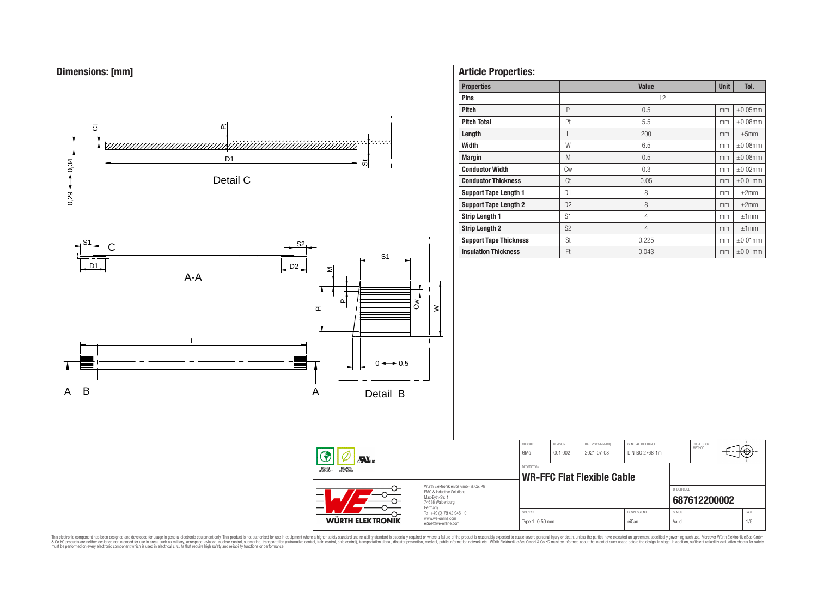



# **Article Properties:**

| <b>Properties</b>             |                | <b>Value</b>   | <b>Unit</b> | Tol.          |
|-------------------------------|----------------|----------------|-------------|---------------|
| <b>Pins</b>                   |                | 12             |             |               |
| <b>Pitch</b>                  | P              | 0.5            | mm          | $\pm 0.05$ mm |
| <b>Pitch Total</b>            | Pt             | 5.5            | mm          | $\pm 0.08$ mm |
| Length                        | L              | 200            | mm          | ±5mm          |
| <b>Width</b>                  | W              | 6.5            | mm          | $\pm 0.08$ mm |
| <b>Margin</b>                 | M              | 0.5            | mm          | $\pm 0.08$ mm |
| <b>Conductor Width</b>        | Сw             | 0.3            | mm          | $\pm 0.02$ mm |
| <b>Conductor Thickness</b>    | Ct             | 0.05           | mm          | $\pm 0.01$ mm |
| <b>Support Tape Length 1</b>  | D <sub>1</sub> | 8              | mm          | $\pm 2$ mm    |
| <b>Support Tape Length 2</b>  | D <sub>2</sub> | 8              | mm          | $\pm 2$ mm    |
| <b>Strip Length 1</b>         | S1             | 4              | mm          | ±1mm          |
| <b>Strip Length 2</b>         | S <sub>2</sub> | $\overline{4}$ | mm          | ±1mm          |
| <b>Support Tape Thickness</b> | St             | 0.225          | mm          | $\pm 0.01$ mm |
| <b>Insulation Thickness</b>   | Ft             | 0.043          | mm          | $\pm 0.01$ mm |

| $\mathbf{r}$<br>ROHS<br>COMPLIANT<br><b>REACH</b><br>COMPLIANT<br>Würth Flektronik eiSos GmbH & Co. KG<br><b>EMC &amp; Inductive Solutions</b><br>Max-Eyth-Str. 1<br>74638 Waldenburg |                                                                                   | CHECKED<br>GMo     | REVISION<br>001.002               | DATE (YYYY-MM-DD)<br>2021-07-08 | GENERAL TOLERANCE<br>DIN ISO 2768-1m                    | PROJECTION<br><b>METHOD</b> |  | ťΦ          |  |
|---------------------------------------------------------------------------------------------------------------------------------------------------------------------------------------|-----------------------------------------------------------------------------------|--------------------|-----------------------------------|---------------------------------|---------------------------------------------------------|-----------------------------|--|-------------|--|
|                                                                                                                                                                                       |                                                                                   | <b>DESCRIPTION</b> | <b>WR-FFC Flat Flexible Cable</b> |                                 |                                                         |                             |  |             |  |
|                                                                                                                                                                                       |                                                                                   |                    |                                   |                                 |                                                         | ORDER CODE<br>687612200002  |  |             |  |
| <b>WÜRTH ELEKTRONIK</b>                                                                                                                                                               | Germany<br>Tel. +49 (0) 79 42 945 - 0<br>www.we-online.com<br>eiSos@we-online.com | SIZE/TYPE          | Type 1, 0.50 mm                   |                                 | <b>BUSINESS UNIT</b><br><b>STATUS</b><br>eiCan<br>Valid |                             |  | PAGE<br>1/5 |  |

This electronic component has been designed and developed for usage in general electronic equipment only. This product is not authorized for subserved requipment where a higher selection equipment where a higher selection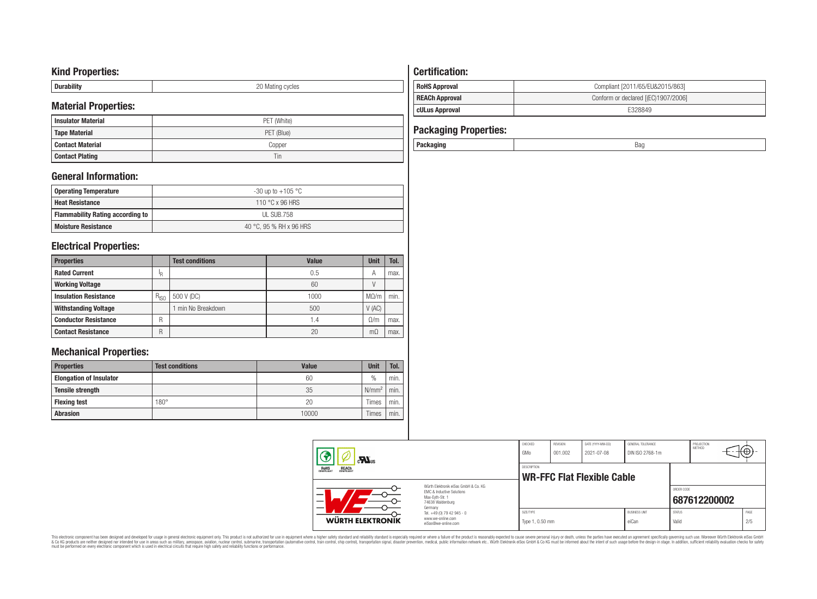## **Kind Properties:**

| <b>Duruping</b> | ററ<br>20 Mating cycles |
|-----------------|------------------------|

# **Material Properties:**

| <b>Insulator Material</b> | PET (White) |
|---------------------------|-------------|
| <b>Tape Material</b>      | PET (Blue)  |
| <b>Contact Material</b>   | Copper      |
| <b>Contact Plating</b>    | Tin         |

# **General Information:**

| Operating Temperature                   | -30 up to +105 $^{\circ}$ C |
|-----------------------------------------|-----------------------------|
| <b>Heat Resistance</b>                  | 110 °C x 96 HRS             |
| <b>Flammability Rating according to</b> | UL SUB.758                  |
| <b>Moisture Resistance</b>              | 40 °C, 95 % RH x 96 HRS     |

# **Electrical Properties:**

| <b>Properties</b>            |           | <b>Test conditions</b> | Value | <b>Unit</b> | Tol. |
|------------------------------|-----------|------------------------|-------|-------------|------|
| <b>Rated Current</b>         | 'R        |                        | 0.5   | А           | max. |
| <b>Working Voltage</b>       |           |                        | 60    |             |      |
| <b>Insulation Resistance</b> | $R_{ISO}$ | 500 V (DC)             | 1000  | $M\Omega/m$ | min. |
| <b>Withstanding Voltage</b>  |           | min No Breakdown       | 500   | V(AC)       |      |
| <b>Conductor Resistance</b>  | R         |                        | 1.4   | $\Omega/m$  | max. |
| <b>Contact Resistance</b>    | R         |                        | 20    | mΩ          | max. |

# **Mechanical Properties:**

| <b>Properties</b>              | <b>Test conditions</b> | Value | <b>Unit</b>       | Tol. |
|--------------------------------|------------------------|-------|-------------------|------|
| <b>Elongation of Insulator</b> |                        | 60    | $\frac{0}{0}$     | min. |
| <b>Tensile strength</b>        |                        | 35    | N/mm <sup>2</sup> | min. |
| <b>Flexing test</b>            | $180^\circ$            | 20    | Times             | min. |
| <b>Abrasion</b>                |                        | 10000 | Times             | min. |

# **Certification: RoHS Approval RoHS Approval Compliant [2011/65/EU&2015/863] REACh Approval REACh Approval Conform or declared [(EC)1907/2006]**

**CULus Approval CULUS Approval** 

# **Packaging Properties:**

| $\mathbf{M}$ us                                       |                                                                                                                     | CHECKED<br>GMo                                   | REVISION<br>001.002 | DATE (YYYY-MM-DD)<br>2021-07-08 | GENERAL TOLERANCE<br>DIN ISO 2768-1m |                        | PROJECTION<br>METHOD | ा∖⊕≀-       |  |
|-------------------------------------------------------|---------------------------------------------------------------------------------------------------------------------|--------------------------------------------------|---------------------|---------------------------------|--------------------------------------|------------------------|----------------------|-------------|--|
| <b>ROHS</b><br>COMPLIANT<br><b>REACH</b><br>COMPLIANT |                                                                                                                     | DESCRIPTION<br><b>WR-FFC Flat Flexible Cable</b> |                     |                                 |                                      |                        |                      |             |  |
| –<br>—<br>-                                           | Würth Flektronik eiSos GmbH & Co. KG<br><b>EMC &amp; Inductive Solutions</b><br>Max-Evth-Str. 1<br>74638 Waldenburg |                                                  |                     |                                 |                                      | ORDER CODE             | 687612200002         |             |  |
| WÜRTH ELEKTRONIK                                      | Germany<br>Tel. +49 (0) 79 42 945 - 0<br>www.we-online.com<br>eiSos@we-online.com                                   | SIZE/TYPE<br>Type 1, 0.50 mm                     |                     |                                 | <b>BLISINESS LINIT</b><br>eiCan      | <b>STATUS</b><br>Valid |                      | PAGE<br>2/5 |  |

This electronic component has been designed and developed for usage in general electronic equipment only. This product is not authorized for subserved requipment where a higher selection equipment where a higher selection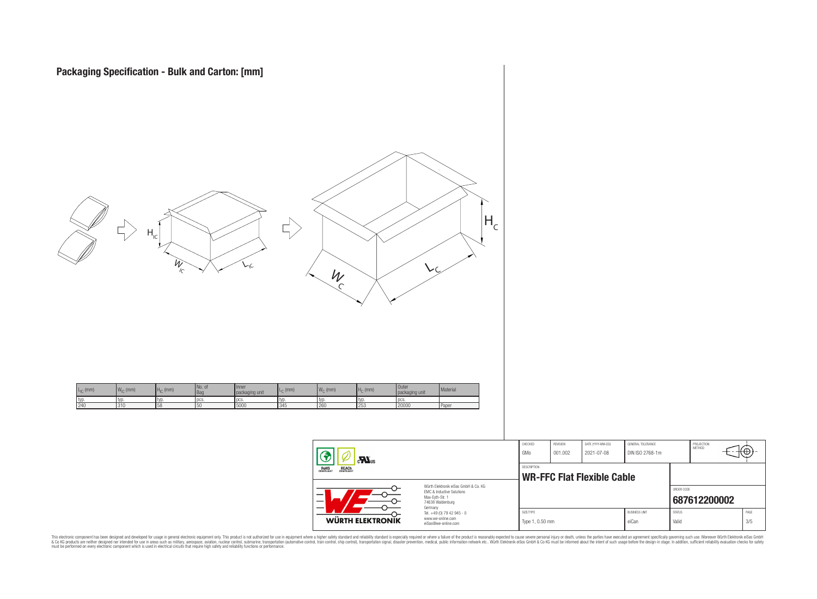

|                                                                                                                                | <b>CHECKED</b><br>GMo                                   | <b>REVISION</b><br>001.002 | DATE (YYYY-MM-DD)<br>2021-07-08 | GENERAL TOLERANCE<br>DIN ISO 2768-1m |                        | PROJECTION<br>METHOD | ₩           |  |
|--------------------------------------------------------------------------------------------------------------------------------|---------------------------------------------------------|----------------------------|---------------------------------|--------------------------------------|------------------------|----------------------|-------------|--|
|                                                                                                                                | <b>DESCRIPTION</b><br><b>WR-FFC Flat Flexible Cable</b> |                            |                                 |                                      |                        |                      |             |  |
| Würth Flektronik eiSos GmbH & Co. KG<br><b>FMC &amp; Inductive Solutions</b><br>Max-Evth-Str. 1<br>74638 Waldenburg<br>Germany |                                                         |                            |                                 |                                      | ORDER CODE             | 687612200002         |             |  |
| Tel. +49 (0) 79 42 945 - 0<br>www.we-online.com<br>eiSos@we-online.com                                                         | SIZE/TYPE<br>Type 1, 0.50 mm                            |                            |                                 | <b>BUSINESS UNIT</b><br>eiCan        | <b>STATUS</b><br>Valid |                      | PAGE<br>3/5 |  |

This electronic component has been designed and developed for usage in general electronic equipment only. This product is not authorized for subserved requipment where a higher selection equipment where a higher selection

WÜRTH ELEKTRONIK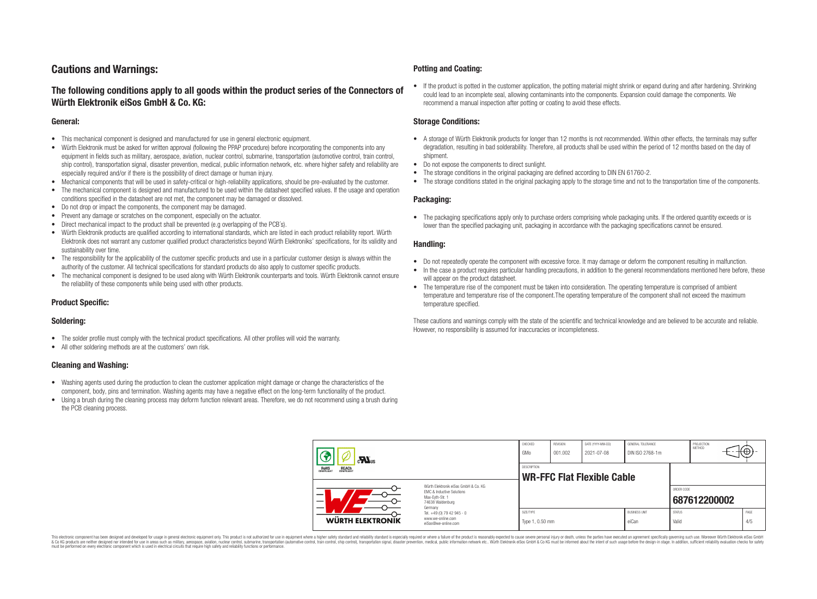## **Cautions and Warnings:**

## **The following conditions apply to all goods within the product series of the Connectors of Würth Elektronik eiSos GmbH & Co. KG:**

#### **General:**

- This mechanical component is designed and manufactured for use in general electronic equipment.
- Würth Elektronik must be asked for written approval (following the PPAP procedure) before incorporating the components into any equipment in fields such as military, aerospace, aviation, nuclear control, submarine, transportation (automotive control, train control, ship control), transportation signal, disaster prevention, medical, public information network, etc. where higher safety and reliability are especially required and/or if there is the possibility of direct damage or human injury.
- Mechanical components that will be used in safety-critical or high-reliability applications, should be pre-evaluated by the customer.
- The mechanical component is designed and manufactured to be used within the datasheet specified values. If the usage and operation conditions specified in the datasheet are not met, the component may be damaged or dissolved.
- Do not drop or impact the components, the component may be damaged.
- Prevent any damage or scratches on the component, especially on the actuator.
- Direct mechanical impact to the product shall be prevented (e.g overlapping of the PCB's).
- Würth Elektronik products are qualified according to international standards, which are listed in each product reliability report. Würth Elektronik does not warrant any customer qualified product characteristics beyond Würth Elektroniks' specifications, for its validity and sustainability over time.
- The responsibility for the applicability of the customer specific products and use in a particular customer design is always within the authority of the customer. All technical specifications for standard products do also apply to customer specific products.
- The mechanical component is designed to be used along with Würth Elektronik counterparts and tools. Würth Elektronik cannot ensure the reliability of these components while being used with other products.

#### **Product Specific:**

#### **Soldering:**

- The solder profile must comply with the technical product specifications. All other profiles will void the warranty.
- All other soldering methods are at the customers' own risk.

#### **Cleaning and Washing:**

- Washing agents used during the production to clean the customer application might damage or change the characteristics of the component, body, pins and termination. Washing agents may have a negative effect on the long-term functionality of the product.
- Using a brush during the cleaning process may deform function relevant areas. Therefore, we do not recommend using a brush during the PCB cleaning process.

#### **Potting and Coating:**

• If the product is potted in the customer application, the potting material might shrink or expand during and after hardening. Shrinking could lead to an incomplete seal, allowing contaminants into the components. Expansion could damage the components. We recommend a manual inspection after potting or coating to avoid these effects.

#### **Storage Conditions:**

- A storage of Würth Elektronik products for longer than 12 months is not recommended. Within other effects, the terminals may suffer degradation, resulting in bad solderability. Therefore, all products shall be used within the period of 12 months based on the day of shipment.
- Do not expose the components to direct sunlight.
- The storage conditions in the original packaging are defined according to DIN EN 61760-2.
- The storage conditions stated in the original packaging apply to the storage time and not to the transportation time of the components.

#### **Packaging:**

• The packaging specifications apply only to purchase orders comprising whole packaging units. If the ordered quantity exceeds or is lower than the specified packaging unit, packaging in accordance with the packaging specifications cannot be ensured.

#### **Handling:**

- Do not repeatedly operate the component with excessive force. It may damage or deform the component resulting in malfunction.
- In the case a product requires particular handling precautions, in addition to the general recommendations mentioned here before, these will appear on the product datasheet
- The temperature rise of the component must be taken into consideration. The operating temperature is comprised of ambient temperature and temperature rise of the component.The operating temperature of the component shall not exceed the maximum temperature specified.

These cautions and warnings comply with the state of the scientific and technical knowledge and are believed to be accurate and reliable. However, no responsibility is assumed for inaccuracies or incompleteness.

| $\mathbf{r}$<br>ROHS<br>COMPLIANT<br><b>REACH</b><br>COMPLIANT |                                                                                                          | CHECKED<br>GMo                                          | REVISION<br>001.002 | DATE (YYYY-MM-DD)<br>2021-07-08 | GENERAL TOLERANCE<br>DIN ISO 2768-1m |                        | PROJECTION<br>METHOD | ₩           |  |
|----------------------------------------------------------------|----------------------------------------------------------------------------------------------------------|---------------------------------------------------------|---------------------|---------------------------------|--------------------------------------|------------------------|----------------------|-------------|--|
|                                                                |                                                                                                          | <b>DESCRIPTION</b><br><b>WR-FFC Flat Flexible Cable</b> |                     |                                 |                                      |                        |                      |             |  |
|                                                                | Würth Elektronik eiSos GmbH & Co. KG<br>EMC & Inductive Solutions<br>Max-Eyth-Str. 1<br>74638 Waldenburg |                                                         |                     |                                 |                                      | ORDER CODE             | 687612200002         |             |  |
| <b>WÜRTH ELEKTRONIK</b>                                        | Germany<br>Tel. +49 (0) 79 42 945 - 0<br>www.we-online.com<br>eiSos@we-online.com                        | SIZE/TYPE<br>Type 1, 0.50 mm                            |                     |                                 | <b>BUSINESS UNIT</b><br>eiCan        | <b>STATUS</b><br>Valid |                      | PAGE<br>4/5 |  |

This electronic component has been designed and developed for usage in general electronic equipment only. This product is not authorized for use in equipment where a higher safety standard and reliability standard si espec & Ook product a label and the membed of the seasuch as marked and as which such a membed and the such assume that income in the seasuch and the simulation and the such assume that include to the such a membed and the such